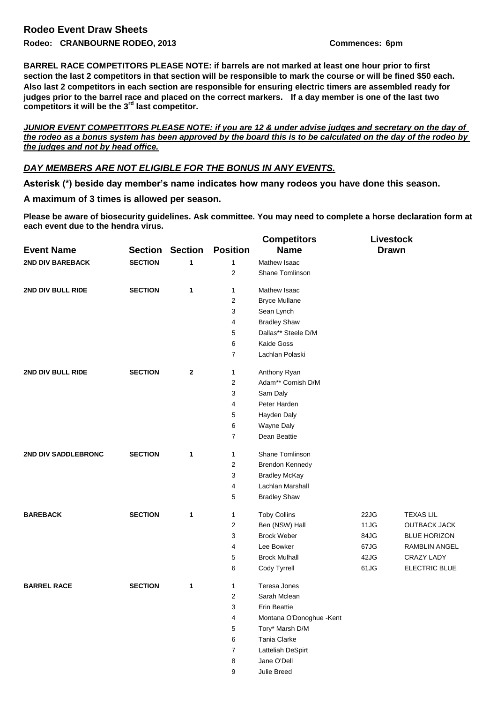**BARREL RACE COMPETITORS PLEASE NOTE: if barrels are not marked at least one hour prior to first section the last 2 competitors in that section will be responsible to mark the course or will be fined \$50 each. Also last 2 competitors in each section are responsible for ensuring electric timers are assembled ready for judges prior to the barrel race and placed on the correct markers. If a day member is one of the last two competitors it will be the 3rd last competitor.**

*JUNIOR EVENT COMPETITORS PLEASE NOTE: if you are 12 & under advise judges and secretary on the day of the rodeo as a bonus system has been approved by the board this is to be calculated on the day of the rodeo by the judges and not by head office.*

## *DAY MEMBERS ARE NOT ELIGIBLE FOR THE BONUS IN ANY EVENTS.*

**Asterisk (\*) beside day member's name indicates how many rodeos you have done this season.** 

## **A maximum of 3 times is allowed per season.**

**Please be aware of biosecurity guidelines. Ask committee. You may need to complete a horse declaration form at each event due to the hendra virus.**

|                         |                |                |                         | <b>Competitors</b>       | <b>Livestock</b> |                     |
|-------------------------|----------------|----------------|-------------------------|--------------------------|------------------|---------------------|
| <b>Event Name</b>       | <b>Section</b> | <b>Section</b> | <b>Position</b>         | <b>Name</b>              | <b>Drawn</b>     |                     |
| <b>2ND DIV BAREBACK</b> | <b>SECTION</b> | 1              | $\mathbf{1}$            | Mathew Isaac             |                  |                     |
|                         |                |                | $\overline{2}$          | Shane Tomlinson          |                  |                     |
| 2ND DIV BULL RIDE       | <b>SECTION</b> | 1              | $\mathbf{1}$            | Mathew Isaac             |                  |                     |
|                         |                |                | 2                       | <b>Bryce Mullane</b>     |                  |                     |
|                         |                |                | 3                       | Sean Lynch               |                  |                     |
|                         |                |                | 4                       | <b>Bradley Shaw</b>      |                  |                     |
|                         |                |                | 5                       | Dallas** Steele D/M      |                  |                     |
|                         |                |                | 6                       | Kaide Goss               |                  |                     |
|                         |                |                | $\overline{7}$          | Lachlan Polaski          |                  |                     |
| 2ND DIV BULL RIDE       | <b>SECTION</b> | $\mathbf{2}$   | 1                       | Anthony Ryan             |                  |                     |
|                         |                |                | $\overline{2}$          | Adam** Cornish D/M       |                  |                     |
|                         |                |                | 3                       | Sam Daly                 |                  |                     |
|                         |                |                | $\overline{4}$          | Peter Harden             |                  |                     |
|                         |                |                | 5                       | Hayden Daly              |                  |                     |
|                         |                |                | 6                       | Wayne Daly               |                  |                     |
|                         |                |                | $\overline{7}$          | Dean Beattie             |                  |                     |
| 2ND DIV SADDLEBRONC     | <b>SECTION</b> | 1              | 1                       | Shane Tomlinson          |                  |                     |
|                         |                |                | 2                       | <b>Brendon Kennedy</b>   |                  |                     |
|                         |                |                | 3                       | <b>Bradley McKay</b>     |                  |                     |
|                         |                |                | 4                       | Lachlan Marshall         |                  |                     |
|                         |                |                | 5                       | <b>Bradley Shaw</b>      |                  |                     |
| <b>BAREBACK</b>         | <b>SECTION</b> | 1              | $\mathbf{1}$            | <b>Toby Collins</b>      | 22JG             | <b>TEXAS LIL</b>    |
|                         |                |                | $\boldsymbol{2}$        | Ben (NSW) Hall           | 11JG             | <b>OUTBACK JACK</b> |
|                         |                |                | 3                       | <b>Brock Weber</b>       | 84JG             | <b>BLUE HORIZON</b> |
|                         |                |                | 4                       | Lee Bowker               | 67JG             | RAMBLIN ANGEL       |
|                         |                |                | 5                       | <b>Brock Mulhall</b>     | 42JG             | <b>CRAZY LADY</b>   |
|                         |                |                | 6                       | Cody Tyrrell             | 61JG             | ELECTRIC BLUE       |
| <b>BARREL RACE</b>      | <b>SECTION</b> | 1              | 1                       | Teresa Jones             |                  |                     |
|                         |                |                | $\overline{\mathbf{c}}$ | Sarah Mclean             |                  |                     |
|                         |                |                | 3                       | <b>Erin Beattie</b>      |                  |                     |
|                         |                |                | 4                       | Montana O'Donoghue -Kent |                  |                     |
|                         |                |                | 5                       | Tory* Marsh D/M          |                  |                     |
|                         |                |                | 6                       | Tania Clarke             |                  |                     |
|                         |                |                | $\boldsymbol{7}$        | Latteliah DeSpirt        |                  |                     |
|                         |                |                | 8                       | Jane O'Dell              |                  |                     |
|                         |                |                | 9                       | Julie Breed              |                  |                     |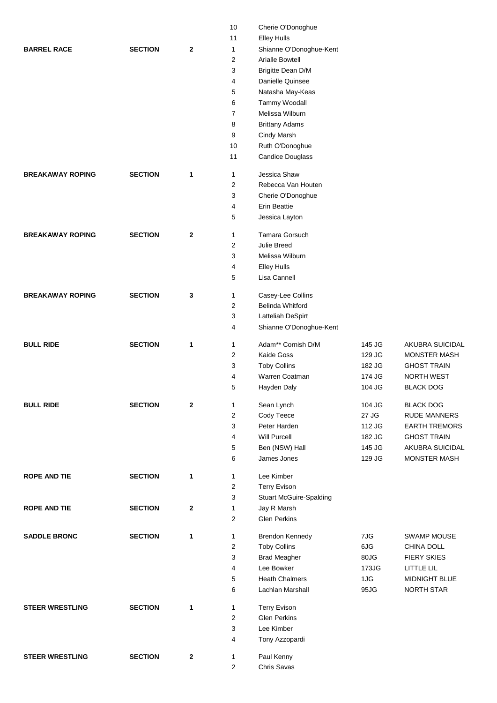|                         |                |              | 10             | Cherie O'Donoghue              |        |                      |
|-------------------------|----------------|--------------|----------------|--------------------------------|--------|----------------------|
|                         |                |              | 11             | <b>Elley Hulls</b>             |        |                      |
| <b>BARREL RACE</b>      | <b>SECTION</b> | 2            | $\mathbf{1}$   | Shianne O'Donoghue-Kent        |        |                      |
|                         |                |              | $\mathbf{2}$   | <b>Arialle Bowtell</b>         |        |                      |
|                         |                |              | 3              | Brigitte Dean D/M              |        |                      |
|                         |                |              | 4              | Danielle Quinsee               |        |                      |
|                         |                |              | 5              | Natasha May-Keas               |        |                      |
|                         |                |              | 6              | Tammy Woodall                  |        |                      |
|                         |                |              | $\overline{7}$ | Melissa Wilburn                |        |                      |
|                         |                |              | 8              | <b>Brittany Adams</b>          |        |                      |
|                         |                |              | 9              | Cindy Marsh                    |        |                      |
|                         |                |              | 10             | Ruth O'Donoghue                |        |                      |
|                         |                |              | 11             | <b>Candice Douglass</b>        |        |                      |
| <b>BREAKAWAY ROPING</b> | <b>SECTION</b> | 1            | $\mathbf{1}$   | Jessica Shaw                   |        |                      |
|                         |                |              | 2              | Rebecca Van Houten             |        |                      |
|                         |                |              | 3              | Cherie O'Donoghue              |        |                      |
|                         |                |              | 4              | <b>Erin Beattie</b>            |        |                      |
|                         |                |              | 5              | Jessica Layton                 |        |                      |
| <b>BREAKAWAY ROPING</b> | <b>SECTION</b> | $\mathbf 2$  | 1              | Tamara Gorsuch                 |        |                      |
|                         |                |              | $\mathbf{2}$   | Julie Breed                    |        |                      |
|                         |                |              | 3              | Melissa Wilburn                |        |                      |
|                         |                |              | 4              | <b>Elley Hulls</b>             |        |                      |
|                         |                |              | 5              | Lisa Cannell                   |        |                      |
| <b>BREAKAWAY ROPING</b> | <b>SECTION</b> | 3            | 1              | Casey-Lee Collins              |        |                      |
|                         |                |              | $\mathbf{2}$   | <b>Belinda Whitford</b>        |        |                      |
|                         |                |              | 3              | Latteliah DeSpirt              |        |                      |
|                         |                |              | 4              | Shianne O'Donoghue-Kent        |        |                      |
| <b>BULL RIDE</b>        | <b>SECTION</b> | 1            | 1              | Adam** Cornish D/M             | 145 JG | AKUBRA SUICIDAL      |
|                         |                |              | $\overline{c}$ | Kaide Goss                     | 129 JG | <b>MONSTER MASH</b>  |
|                         |                |              | 3              | <b>Toby Collins</b>            | 182 JG | <b>GHOST TRAIN</b>   |
|                         |                |              | 4              | Warren Coatman                 | 174 JG | <b>NORTH WEST</b>    |
|                         |                |              | 5              | Hayden Daly                    | 104 JG | <b>BLACK DOG</b>     |
| <b>BULL RIDE</b>        | <b>SECTION</b> | $\mathbf{2}$ | $\mathbf{1}$   | Sean Lynch                     | 104 JG | <b>BLACK DOG</b>     |
|                         |                |              | 2              | Cody Teece                     | 27 JG  | <b>RUDE MANNERS</b>  |
|                         |                |              | 3              | Peter Harden                   | 112 JG | <b>EARTH TREMORS</b> |
|                         |                |              | 4              | <b>Will Purcell</b>            | 182 JG | <b>GHOST TRAIN</b>   |
|                         |                |              | 5              | Ben (NSW) Hall                 | 145 JG | AKUBRA SUICIDAL      |
|                         |                |              | 6              | James Jones                    | 129 JG | <b>MONSTER MASH</b>  |
| <b>ROPE AND TIE</b>     | <b>SECTION</b> | 1            | 1              | Lee Kimber                     |        |                      |
|                         |                |              | $\overline{c}$ | <b>Terry Evison</b>            |        |                      |
|                         |                |              | 3              | <b>Stuart McGuire-Spalding</b> |        |                      |
| <b>ROPE AND TIE</b>     | <b>SECTION</b> | $\mathbf{2}$ | 1              | Jay R Marsh                    |        |                      |
|                         |                |              | 2              | <b>Glen Perkins</b>            |        |                      |
| <b>SADDLE BRONC</b>     | <b>SECTION</b> | 1            | 1              | Brendon Kennedy                | 7JG    | <b>SWAMP MOUSE</b>   |
|                         |                |              | 2              | <b>Toby Collins</b>            | 6JG    | CHINA DOLL           |
|                         |                |              | 3              | <b>Brad Meagher</b>            | 80JG   | <b>FIERY SKIES</b>   |
|                         |                |              | 4              | Lee Bowker                     | 173JG  | LITTLE LIL           |
|                         |                |              | 5              | <b>Heath Chalmers</b>          | 1JG    | MIDNIGHT BLUE        |
|                         |                |              | 6              | Lachlan Marshall               | 95JG   | <b>NORTH STAR</b>    |
| <b>STEER WRESTLING</b>  | <b>SECTION</b> | 1            | $\mathbf{1}$   | <b>Terry Evison</b>            |        |                      |
|                         |                |              | $\overline{c}$ | <b>Glen Perkins</b>            |        |                      |
|                         |                |              | 3              | Lee Kimber                     |        |                      |
|                         |                |              | 4              | Tony Azzopardi                 |        |                      |
| <b>STEER WRESTLING</b>  | <b>SECTION</b> | $\mathbf{2}$ | 1              | Paul Kenny                     |        |                      |
|                         |                |              | $\overline{c}$ | Chris Savas                    |        |                      |